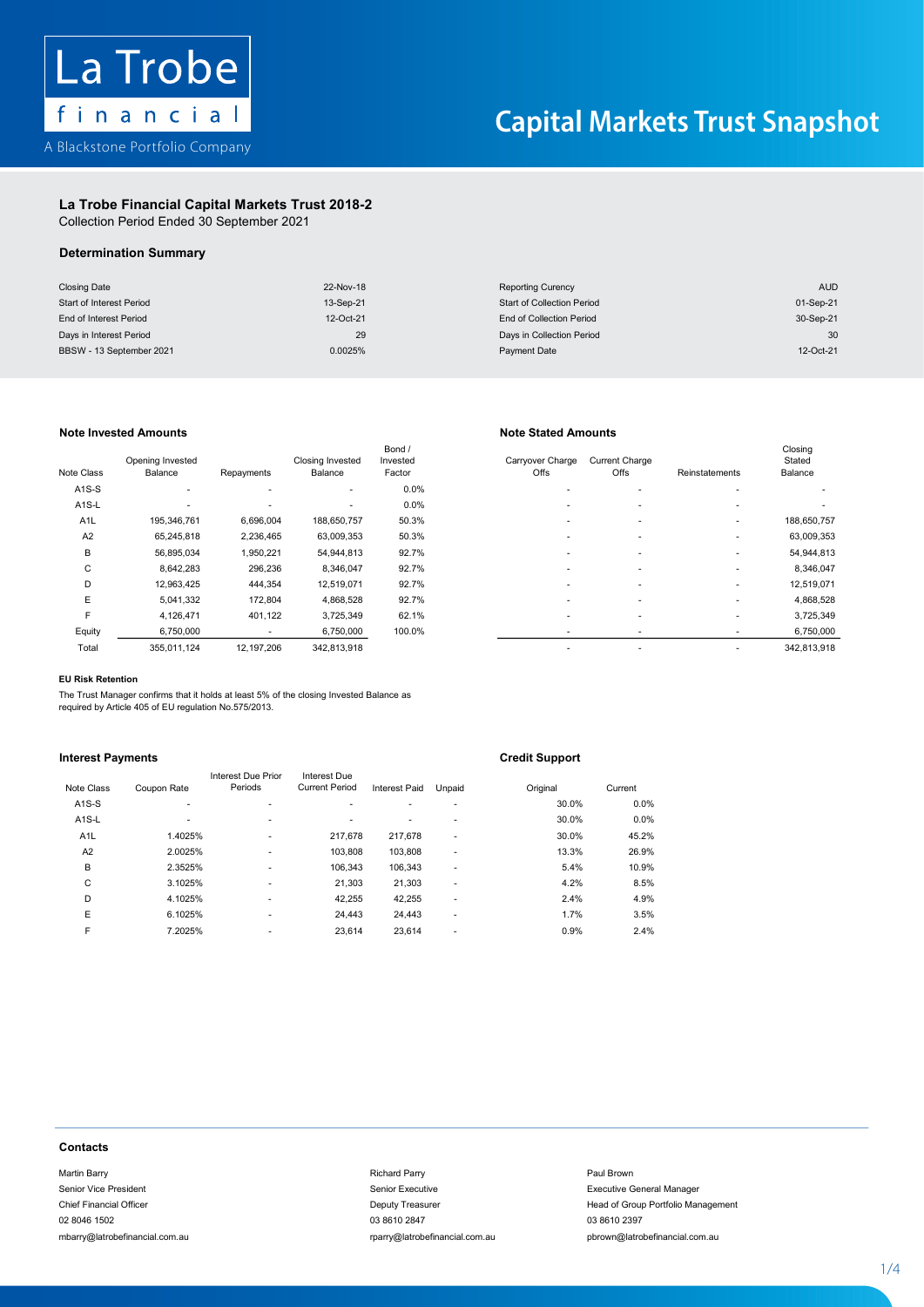

## La Trobe Financial Capital Markets Trust 2018-2 Capital Markets Trust 2018-2La Trobe Financial Capital Markets Trust 2018-2 La Trope Financial Capital Markets Tru

Collection Period Ended 30 September 2021 Collection Period Ended 30 September 2021

# La Trobe Financial Capital Markets Trust 2018-2 Determination Summary Determination Summary Determination Summary

| <b>Closing Date</b>      | 22-Nov-18 | <b>Reporting Curency</b>          | <b>AUD</b> |
|--------------------------|-----------|-----------------------------------|------------|
| Start of Interest Period | 13-Sep-21 | <b>Start of Collection Period</b> | 01-Sep-21  |
| End of Interest Period   | 12-Oct-21 | End of Collection Period          | 30-Sep-21  |
| Days in Interest Period  | 29        | Days in Collection Period         | 30         |
| BBSW - 13 September 2021 | 0.0025%   | Payment Date                      | 12-Oct-21  |

## Note Invested Amounts Note Stated Amounts

| Note Class         | Opening Invested<br>Balance | Repayments | <b>Closing Invested</b><br>Balance | Bond /<br>Invested<br>Factor | Carryover Charge<br>Offs | <b>Current Charge</b><br>Offs | Reinstatements | Closing<br>Stated<br>Balance |
|--------------------|-----------------------------|------------|------------------------------------|------------------------------|--------------------------|-------------------------------|----------------|------------------------------|
| $A1S-S$            | ٠                           |            | ٠                                  | 0.0%                         |                          |                               |                |                              |
| A <sub>1</sub> S-L | ۰                           |            | ٠                                  | 0.0%                         |                          | $\overline{\phantom{a}}$      |                |                              |
| A <sub>1</sub> L   | 195,346,761                 | 6,696,004  | 188,650,757                        | 50.3%                        | ۰                        | $\overline{\phantom{a}}$      | ٠              | 188,650,757                  |
| A <sub>2</sub>     | 65.245.818                  | 2,236,465  | 63,009,353                         | 50.3%                        |                          |                               |                | 63,009,353                   |
| B                  | 56,895,034                  | 1,950,221  | 54,944,813                         | 92.7%                        | ۰                        |                               |                | 54,944,813                   |
| C                  | 8,642,283                   | 296,236    | 8,346,047                          | 92.7%                        |                          |                               |                | 8,346,047                    |
| D                  | 12,963,425                  | 444,354    | 12,519,071                         | 92.7%                        |                          |                               |                | 12,519,071                   |
| E                  | 5,041,332                   | 172,804    | 4,868,528                          | 92.7%                        | ۰                        |                               | ٠              | 4,868,528                    |
| F                  | 4,126,471                   | 401,122    | 3,725,349                          | 62.1%                        |                          | $\overline{\phantom{a}}$      |                | 3,725,349                    |
| Equity             | 6,750,000                   | ٠          | 6,750,000                          | 100.0%                       | ۰                        |                               |                | 6,750,000                    |
| Total              | 355.011.124                 | 12.197.206 | 342.813.918                        |                              | ۰                        |                               |                | 342.813.918                  |

| Class            | Opening Invested<br>Balance | Repayments | <b>Closing Invested</b><br>Balance | Bond /<br>Invested<br>Factor | Carrvover Charge<br>Offs | <b>Current Charge</b><br>Offs | Reinstatements | Closing<br>Stated<br>Balance |
|------------------|-----------------------------|------------|------------------------------------|------------------------------|--------------------------|-------------------------------|----------------|------------------------------|
| <b>\1S-S</b>     | ۰                           |            | $\overline{\phantom{a}}$           | 0.0%                         |                          |                               |                |                              |
| \1S-L            | $\overline{\phantom{a}}$    | -          |                                    | 0.0%                         |                          | $\overline{\phantom{a}}$      |                |                              |
| A <sub>1</sub> L | 195,346,761                 | 6,696,004  | 188,650,757                        | 50.3%                        |                          |                               |                | 188,650,757                  |
| A2               | 65,245,818                  | 2,236,465  | 63,009,353                         | 50.3%                        |                          |                               |                | 63,009,353                   |
| B                | 56,895,034                  | 1,950,221  | 54,944,813                         | 92.7%                        |                          |                               |                | 54,944,813                   |
| $\mathsf{C}$     | 8,642,283                   | 296,236    | 8,346,047                          | 92.7%                        |                          |                               |                | 8,346,047                    |
| D                | 12.963.425                  | 444,354    | 12,519,071                         | 92.7%                        |                          | $\overline{\phantom{a}}$      |                | 12,519,071                   |
| E                | 5,041,332                   | 172,804    | 4,868,528                          | 92.7%                        |                          | $\overline{\phantom{a}}$      |                | 4,868,528                    |
| F                | 4,126,471                   | 401,122    | 3,725,349                          | 62.1%                        |                          |                               |                | 3,725,349                    |
| Equity           | 6,750,000                   |            | 6,750,000                          | 100.0%                       |                          |                               |                | 6,750,000                    |
| Total            | 355,011,124                 | 12,197,206 | 342,813,918                        |                              |                          |                               |                | 342,813,918                  |
|                  |                             |            |                                    |                              |                          |                               |                |                              |

### EU Risk Retention

F 4,126,471 401,122 3,725,349 62.1% - - - 3,725,349 The Trust Manager confirms that it holds at least 5% of the closing Invested Balance as<br>required by Article 405 of ELLrequistion No 575/2013 required by Article 405 of EU regulation No.575/2013. The Trust Manager The Trust Manager confirms that it holds at least 5% of the closing Invested Balance as<br>required by Article 405 of EU regulation No.575/2013.<br>.

# **Interest Payments Europe Credit Support**

|                  |             |                               |                                       |               |        | . .      |         |
|------------------|-------------|-------------------------------|---------------------------------------|---------------|--------|----------|---------|
| Note Class       | Coupon Rate | Interest Due Prior<br>Periods | Interest Due<br><b>Current Period</b> | Interest Paid | Unpaid | Original | Current |
| $A1S-S$          | ۰           |                               |                                       | ÷             | ۰      | 30.0%    | 0.0%    |
| $A1S-L$          | ۰.          | ٠                             |                                       | ۰             | ۰      | 30.0%    | 0.0%    |
| A <sub>1</sub> L | 1.4025%     | ٠                             | 217,678                               | 217,678       | ٠      | 30.0%    | 45.2%   |
| A2               | 2.0025%     | ٠                             | 103.808                               | 103,808       | ۰      | 13.3%    | 26.9%   |
| B                | 2.3525%     | ٠                             | 106.343                               | 106.343       | ۰      | 5.4%     | 10.9%   |
| C                | 3.1025%     | ٠                             | 21,303                                | 21,303        | ۰      | 4.2%     | 8.5%    |
| D                | 4.1025%     | ٠                             | 42,255                                | 42,255        | ۰      | 2.4%     | 4.9%    |
| E                | 6.1025%     | ٠                             | 24,443                                | 24,443        | ۰      | 1.7%     | 3.5%    |
| F                | 7.2025%     | ۰                             | 23,614                                | 23,614        | ۰      | 0.9%     | 2.4%    |
|                  |             |                               |                                       |               |        |          |         |

### **Contacts** Contacts Financial Officer Deputy Treasurer Head of Group Portfolio Management Portfolio Management Portfolio Ma contacts contacts contact of the state of the state of the state of the state of the state of the state of the state of the state of the state of the state of the state of the state of the state of the state of the state o

Martin Barry Richard Parry Paul Brown Senior Vice President Senior Executive Executive General Manager 02 8046 1502 03 8610 2847 03 8610 2397 mbarry@latrobefinancial.com.au rparry@latrobefinancial.com.au pbrown@latrobefinancial.com.au malatroatry altroduction come in the community of the complete complete come in the complete come in the community of the community of the community of the community of the community of the community of the community of th

# Frief Financial Manager Contacts<br>Martin Barry<br>Management of Group Portfolio Management of Group Portfolio Management of Group Portfolio Management mbarry@latrobefinancial.com.au rparry@latrobefinancial.com.au pbrown@latrobefinancial.com.au

Chief Financial Officer **Deputy Treasurer Chief Financial Officer Head of Group Portfolio Management** 

1 - 4

1 - 4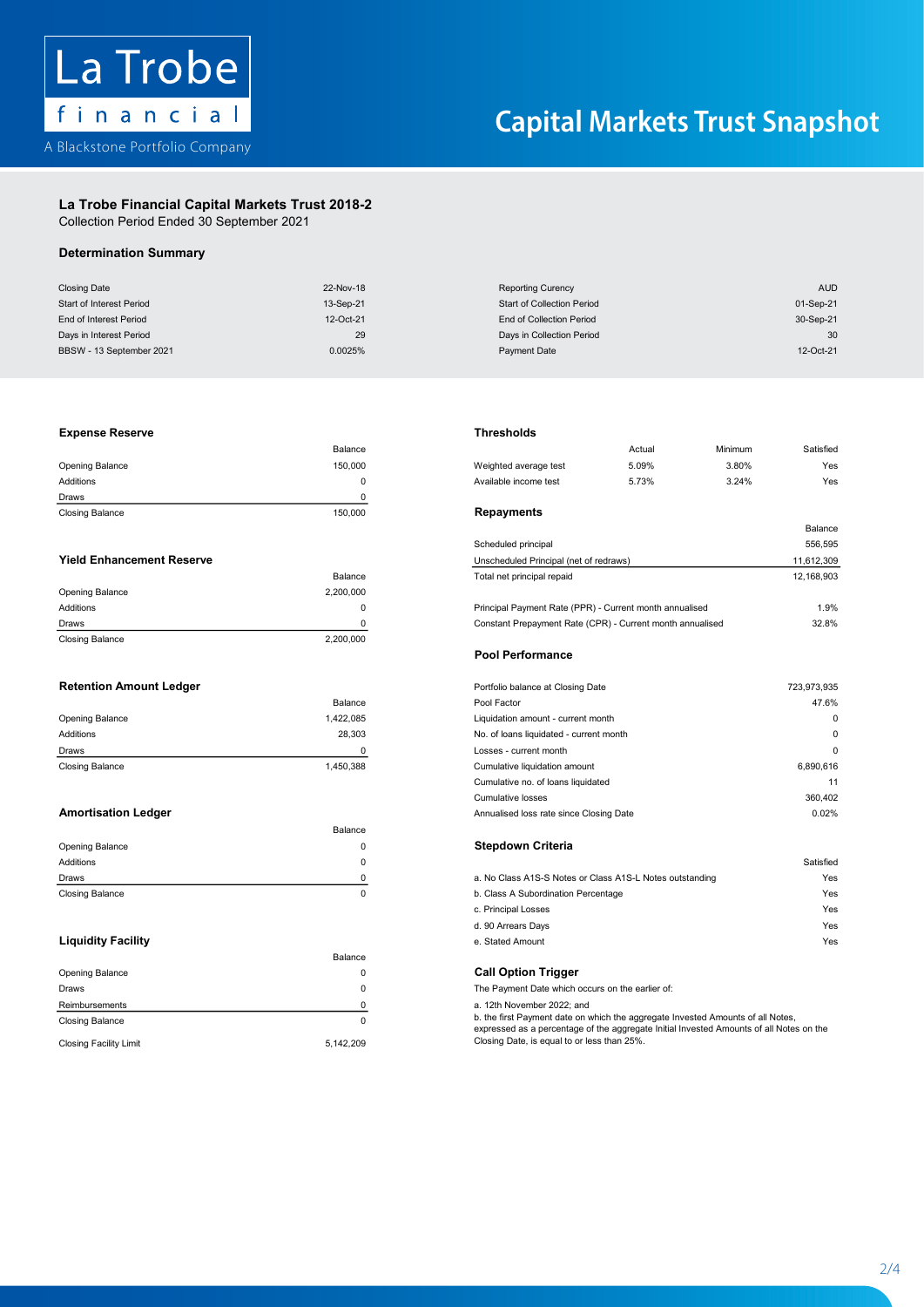

# La Trobe Financial Capital Markets Trust 2018-2 La Trobe Financial Capital Markets Trust 2018-2

Collection Period Ended 30 September 2021 Collection Period Ended 30 September 2021

# Determination Summary

| <b>Closing Date</b>      | 22-Nov-18 | <b>Reporting Curency</b>          | AUD       |
|--------------------------|-----------|-----------------------------------|-----------|
| Start of Interest Period | 13-Sep-21 | <b>Start of Collection Period</b> | 01-Sep-21 |
| End of Interest Period   | 12-Oct-21 | End of Collection Period          | 30-Sep-21 |
| Days in Interest Period  | 29        | Days in Collection Period         | 30        |
| BBSW - 13 September 2021 | 0.0025%   | Payment Date                      | 12-Oct-21 |

### Opening Balance 150,000 Weighted average test 5.09% 3.80% Yes Expense Reserve Thresholds

| <b>Closing Balance</b> | 150,000 | Repayments       |
|------------------------|---------|------------------|
| Draws                  |         |                  |
| Additions              |         | Available income |
| <b>Opening Balance</b> | 150.000 | Weighted averag  |
|                        | Balance |                  |

|                        |           | <b>Pool Performance</b>                                   |                |
|------------------------|-----------|-----------------------------------------------------------|----------------|
| <b>Closing Balance</b> | 2,200,000 |                                                           |                |
| Draws                  |           | Constant Prepayment Rate (CPR) - Current month annualised | $32.8^{\circ}$ |
| Additions              |           | Principal Payment Rate (PPR) - Current month annualised   | 1.9'           |
| Opening Balance        | 2.200.000 |                                                           |                |
|                        | Balance   | Total net principal repaid                                | 12.168.90      |

|                        | Balance   |
|------------------------|-----------|
| Opening Balance        | 1,422,085 |
| Additions              | 28.303    |
| Draws                  | n         |
| <b>Closing Balance</b> | 1.450.388 |

|                 | Balance |                                                          |           |
|-----------------|---------|----------------------------------------------------------|-----------|
| Opening Balance |         | <b>Stepdown Criteria</b>                                 |           |
| Additions       |         |                                                          | Satisfied |
| Draws           |         | a. No Class A1S-S Notes or Class A1S-L Notes outstanding | Yes       |
| Closing Balance |         | b. Class A Subordination Percentage                      | Yes       |

|                               | Balance   |                                                                                                                                                                            |
|-------------------------------|-----------|----------------------------------------------------------------------------------------------------------------------------------------------------------------------------|
| <b>Opening Balance</b>        |           | <b>Call Option Trigger</b>                                                                                                                                                 |
| Draws                         |           | The Payment Date which occurs on the earlier of:                                                                                                                           |
| Reimbursements                |           | a. 12th November 2022; and                                                                                                                                                 |
| <b>Closing Balance</b>        |           | b. the first Payment date on which the aggregate Invested Amounts of all Notes,<br>expressed as a percentage of the aggregate Initial Invested Amounts of all Notes on the |
| <b>Closing Facility Limit</b> | 5.142.209 | Closing Date, is equal to or less than 25%.                                                                                                                                |

### the serve that the contract of the contract of the contract of the contract of the contract of the contract of the contract of the contract of the contract of the contract of the contract of the contract of the contract of

| <b>AUD</b><br><b>Reporting Curency</b><br>01-Sep-21<br><b>Start of Collection Period</b><br>End of Collection Period<br>30-Sep-21<br>Days in Collection Period<br>30<br>12-Oct-21<br><b>Payment Date</b><br><b>Thresholds</b><br>Satisfied<br>Actual<br>Minimum<br>5.09%<br>Weighted average test<br>3.80%<br>Yes<br>Available income test<br>5.73%<br>3.24%<br>Yes<br><b>Repayments</b><br>Balance<br>556,595<br>Scheduled principal<br>Unscheduled Principal (net of redraws)<br>11,612,309 |
|-----------------------------------------------------------------------------------------------------------------------------------------------------------------------------------------------------------------------------------------------------------------------------------------------------------------------------------------------------------------------------------------------------------------------------------------------------------------------------------------------|
|                                                                                                                                                                                                                                                                                                                                                                                                                                                                                               |
|                                                                                                                                                                                                                                                                                                                                                                                                                                                                                               |
|                                                                                                                                                                                                                                                                                                                                                                                                                                                                                               |
|                                                                                                                                                                                                                                                                                                                                                                                                                                                                                               |
|                                                                                                                                                                                                                                                                                                                                                                                                                                                                                               |
|                                                                                                                                                                                                                                                                                                                                                                                                                                                                                               |
|                                                                                                                                                                                                                                                                                                                                                                                                                                                                                               |
|                                                                                                                                                                                                                                                                                                                                                                                                                                                                                               |
|                                                                                                                                                                                                                                                                                                                                                                                                                                                                                               |
|                                                                                                                                                                                                                                                                                                                                                                                                                                                                                               |
|                                                                                                                                                                                                                                                                                                                                                                                                                                                                                               |
|                                                                                                                                                                                                                                                                                                                                                                                                                                                                                               |
|                                                                                                                                                                                                                                                                                                                                                                                                                                                                                               |
|                                                                                                                                                                                                                                                                                                                                                                                                                                                                                               |
| Total net principal repaid<br>12,168,903                                                                                                                                                                                                                                                                                                                                                                                                                                                      |
|                                                                                                                                                                                                                                                                                                                                                                                                                                                                                               |
| Principal Payment Rate (PPR) - Current month annualised<br>1.9%                                                                                                                                                                                                                                                                                                                                                                                                                               |
| Constant Prepayment Rate (CPR) - Current month annualised<br>32.8%                                                                                                                                                                                                                                                                                                                                                                                                                            |
|                                                                                                                                                                                                                                                                                                                                                                                                                                                                                               |
| <b>Pool Performance</b>                                                                                                                                                                                                                                                                                                                                                                                                                                                                       |
| 723,973,935<br>Portfolio balance at Closing Date                                                                                                                                                                                                                                                                                                                                                                                                                                              |
| 47.6%                                                                                                                                                                                                                                                                                                                                                                                                                                                                                         |
| 0<br>Liquidation amount - current month                                                                                                                                                                                                                                                                                                                                                                                                                                                       |
| 0<br>No. of loans liquidated - current month                                                                                                                                                                                                                                                                                                                                                                                                                                                  |
| $\mathbf 0$<br>Losses - current month                                                                                                                                                                                                                                                                                                                                                                                                                                                         |
| 6,890,616<br>Cumulative liquidation amount                                                                                                                                                                                                                                                                                                                                                                                                                                                    |
| Cumulative no. of loans liquidated<br>11                                                                                                                                                                                                                                                                                                                                                                                                                                                      |
| <b>Cumulative losses</b><br>360,402                                                                                                                                                                                                                                                                                                                                                                                                                                                           |
| 0.02%<br>Annualised loss rate since Closing Date                                                                                                                                                                                                                                                                                                                                                                                                                                              |
|                                                                                                                                                                                                                                                                                                                                                                                                                                                                                               |
| <b>Stepdown Criteria</b>                                                                                                                                                                                                                                                                                                                                                                                                                                                                      |
| Satisfied                                                                                                                                                                                                                                                                                                                                                                                                                                                                                     |
| a. No Class A1S-S Notes or Class A1S-L Notes outstanding<br>Yes                                                                                                                                                                                                                                                                                                                                                                                                                               |
| b. Class A Subordination Percentage<br>Yes                                                                                                                                                                                                                                                                                                                                                                                                                                                    |
| c. Principal Losses<br>Yes                                                                                                                                                                                                                                                                                                                                                                                                                                                                    |
| d. 90 Arrears Days<br>Yes                                                                                                                                                                                                                                                                                                                                                                                                                                                                     |
| e. Stated Amount<br>Yes                                                                                                                                                                                                                                                                                                                                                                                                                                                                       |
|                                                                                                                                                                                                                                                                                                                                                                                                                                                                                               |
| <b>Call Option Trigger</b>                                                                                                                                                                                                                                                                                                                                                                                                                                                                    |
| The Payment Date which occurs on the earlier of:                                                                                                                                                                                                                                                                                                                                                                                                                                              |
| a. 12th November 2022; and                                                                                                                                                                                                                                                                                                                                                                                                                                                                    |
| b. the first Payment date on which the aggregate Invested Amounts of all Notes,<br>expressed as a percentage of the aggregate Initial Invested Amounts of all Notes on the                                                                                                                                                                                                                                                                                                                    |
| Closing Date, is equal to or less than 25%.                                                                                                                                                                                                                                                                                                                                                                                                                                                   |
|                                                                                                                                                                                                                                                                                                                                                                                                                                                                                               |

### Retention Amount Ledger Portfolio balance at Closing Date 723,973,935 Pool Performance

| Portfolio balance at Closing Date       | 723,973,935                                             |
|-----------------------------------------|---------------------------------------------------------|
| Pool Factor                             | 47.6%                                                   |
| Liquidation amount - current month      | $\Omega$                                                |
| No. of loans liquidated - current month | $\Omega$                                                |
| Losses - current month                  | $\Omega$                                                |
| Cumulative liquidation amount           | 6,890,616                                               |
| Cumulative no. of loans liquidated      | 11                                                      |
| Cumulative losses                       | 360,402                                                 |
| Annualised loss rate since Closing Date | 0.02%                                                   |
|                                         | Balance<br>1,422,085<br>28.303<br>$\Omega$<br>1,450,388 |

| Draws                     | a. No Class A1S-S Notes or Class A1S-L Notes outstanding | Yes |
|---------------------------|----------------------------------------------------------|-----|
| Closing Balance           | b. Class A Subordination Percentage                      | Yes |
|                           | c. Principal Losses                                      | Yes |
|                           | d. 90 Arrears Days                                       | Yes |
| <b>Liquidity Facility</b> | e. Stated Amount                                         | Yes |

2/4

2 - 4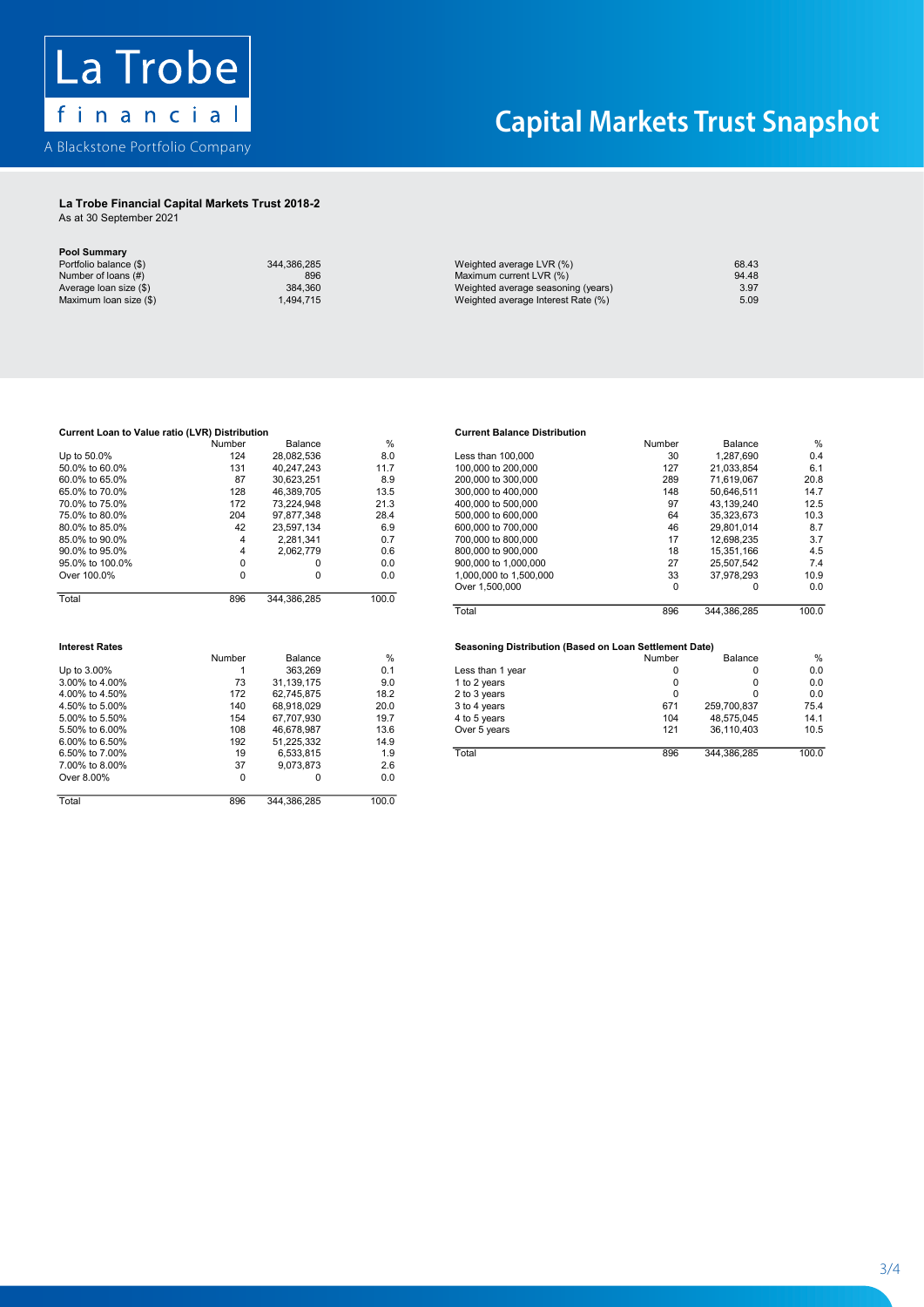

## La Trobe Financial Capital Markets Trust 2018-2 La Trobe Financial Capital Markets Trust 2018-2

As at 30 September 2021 As at 30 September 2021

| Pool Summary           |             |                                    |       |
|------------------------|-------------|------------------------------------|-------|
| Portfolio balance (\$) | 344.386.285 | Weighted average LVR (%)           | 68.43 |
| Number of loans (#)    | 896         | Maximum current LVR (%)            | 94.48 |
| Average loan size (\$) | 384.360     | Weighted average seasoning (years) | 3.97  |
| Maximum Ioan size (\$) | 1.494.715   | Weighted average Interest Rate (%) | 5.09  |

|                                 | Number | 3alance                                     |     |                                    | Number | alance   |  |
|---------------------------------|--------|---------------------------------------------|-----|------------------------------------|--------|----------|--|
| 50.0%<br>Up to                  | 24     | 28.082.536                                  | o.u | 100.000<br>ess than                | 30     | ,287,690 |  |
| $+A$ $60$ $00$<br><b>50.00/</b> | .01    | 0.17010<br>ני ו <i>ו</i> ני<br>.,,,<br>,,,, |     | <b>DOO OOO</b><br>100,000<br>$+ -$ | 127    | ິບພ<br>. |  |

|                       | 131      | 40,247,243  | 11.7          | 100,000 to 200,000                                     | 127    | 21,033,854  | 6.1                  |
|-----------------------|----------|-------------|---------------|--------------------------------------------------------|--------|-------------|----------------------|
| 60.0% to 65.0%        | 87       | 30,623,251  | 8.9           | 200,000 to 300,000                                     | 289    | 71.619.067  | 20.8                 |
| 65.0% to 70.0%        | 128      | 46,389,705  | 13.5          | 300,000 to 400,000                                     | 148    | 50,646,511  | 14.7                 |
| 70.0% to 75.0%        | 172      | 73,224,948  | 21.3          | 400,000 to 500,000                                     | 97     | 43.139.240  | 12.5                 |
| 75.0% to 80.0%        | 204      | 97,877,348  | 28.4          | 500,000 to 600,000                                     | 64     | 35,323,673  | 10.3                 |
| 80.0% to 85.0%        | 42       | 23,597,134  | 6.9           | 600,000 to 700,000                                     | 46     | 29,801,014  | 8.7                  |
| 85.0% to 90.0%        | 4        | 2.281.341   | 0.7           | 700,000 to 800,000                                     | 17     | 12.698.235  | 3.7                  |
| 90.0% to 95.0%        | 4        | 2,062,779   | 0.6           | 800,000 to 900,000                                     | 18     | 15,351,166  | 4.5                  |
| 95.0% to 100.0%       | 0        | 0           | 0.0           | 900,000 to 1,000,000                                   | 27     | 25,507,542  | 7.4                  |
| Over 100.0%           | 0        | 0           | 0.0           | 1,000,000 to 1,500,000                                 | 33     | 37,978,293  | 10.9                 |
|                       |          |             |               | Over 1,500,000                                         | 0      | 0           | 0. <sub>C</sub>      |
| Total                 | 896      | 344,386,285 | 100.0         |                                                        |        |             |                      |
|                       |          |             |               | Total                                                  | 896    | 344,386,285 | 100.0                |
|                       |          |             |               |                                                        |        |             |                      |
| <b>Interest Rates</b> |          |             |               |                                                        |        |             |                      |
|                       | Number   | Balance     | $\frac{0}{0}$ | Seasoning Distribution (Based on Loan Settlement Date) | Number | Balance     |                      |
| Up to 3.00%           |          | 363,269     | 0.1           |                                                        | 0      | 0           | %<br>0. <sub>C</sub> |
| 3.00% to 4.00%        | 73       | 31,139,175  | 9.0           | Less than 1 year                                       | 0      | 0           | 0. <sub>C</sub>      |
| 4.00% to 4.50%        | 172      | 62.745.875  | 18.2          | 1 to 2 years                                           | 0      | 0           | 0. <sub>C</sub>      |
| 4.50% to 5.00%        | 140      | 68,918,029  | 20.0          | 2 to 3 years                                           | 671    | 259,700,837 | 75.4                 |
| 5.00% to 5.50%        | 154      | 67.707.930  | 19.7          | 3 to 4 years<br>4 to 5 years                           | 104    | 48.575.045  | 14.1                 |
| 5.50% to 6.00%        | 108      | 46,678,987  | 13.6          | Over 5 years                                           | 121    | 36,110,403  | 10.5                 |
| 6.00% to 6.50%        | 192      | 51,225,332  | 14.9          |                                                        |        |             |                      |
| 6.50% to 7.00%        | 19       | 6,533,815   | 1.9           | Total                                                  | 896    | 344,386,285 | 100.0                |
| 7.00% to 8.00%        | 37       | 9,073,873   | 2.6           |                                                        |        |             |                      |
| Over 8.00%            | $\Omega$ | 0           | 0.0           |                                                        |        |             |                      |

### 172 73,224,948 21.3 97 43,139,240 12.5 400,000 to 500,000 500,000 to 600,000 المسابق المسابق المسابق المسابق المسابق المسابق المسابق المسابق المسابق المسابق المسابق المسابق المسابق المساب<br>المسابق المسابق المسابق المسابق المسابق المسابق المسابق المسابق المسابق المسابق المسابق المسابق المسابق المساب **Current Balance D**

|                 | Number | Balance     | %     |                        | Number | Balance     | %     |
|-----------------|--------|-------------|-------|------------------------|--------|-------------|-------|
| Up to 50.0%     | 124    | 28.082.536  | 8.0   | Less than 100,000      | 30     | .287.690    | 0.4   |
| 50.0% to 60.0%  | 131    | 40.247.243  | 11.7  | 100,000 to 200,000     | 127    | 21.033.854  | 6.1   |
| 60.0% to 65.0%  | 87     | 30.623.251  | 8.9   | 200,000 to 300,000     | 289    | 71.619.067  | 20.8  |
| 65.0% to 70.0%  | 128    | 46.389.705  | 13.5  | 300,000 to 400,000     | 148    | 50.646.511  | 14.7  |
| 70.0% to 75.0%  | 172    | 73.224.948  | 21.3  | 400,000 to 500,000     | 97     | 43.139.240  | 12.5  |
| 75.0% to 80.0%  | 204    | 97.877.348  | 28.4  | 500,000 to 600,000     | 64     | 35.323.673  | 10.3  |
| 80.0% to 85.0%  | 42     | 23.597.134  | 6.9   | 600,000 to 700,000     | 46     | 29.801.014  | 8.7   |
| 85.0% to 90.0%  |        | 2.281.341   | 0.7   | 700,000 to 800,000     | 17     | 12.698.235  | 3.7   |
| 90.0% to 95.0%  |        | 2.062.779   | 0.6   | 800,000 to 900,000     | 18     | 15.351.166  | 4.5   |
| 95.0% to 100.0% |        |             | 0.0   | 900,000 to 1,000,000   | 27     | 25.507.542  | 7.4   |
| Over 100.0%     | 0      | 0           | 0.0   | 1.000.000 to 1.500.000 | 33     | 37.978.293  | 10.9  |
|                 |        |             |       | Over 1,500,000         |        |             | 0.0   |
| Total           | 896    | 344.386.285 | 100.0 |                        |        |             |       |
|                 |        |             |       | Total                  | 896    | 344.386.285 | 100.0 |

|                   | Number | Balance    | %             |                  | Number | Balance     | %     |
|-------------------|--------|------------|---------------|------------------|--------|-------------|-------|
| Up to 3.00%       |        | 363.269    | 0.1           | Less than 1 year |        | 0           | 0.0   |
| 3.00% to 4.00%    | 73     | 31.139.175 | 9.0           | 1 to 2 vears     |        | 0           | 0.0   |
| 4.00% to 4.50%    | 172    | 62.745.875 | 18.2          | 2 to 3 years     |        |             | 0.0   |
| 4.50% to 5.00%    | 140    | 68.918.029 | 20.0          | 3 to 4 years     | 671    | 259.700.837 | 75.4  |
| 5.00% to 5.50%    | 154    | 67.707.930 | 19.7          | 4 to 5 years     | 104    | 48.575.045  | 14.1  |
| 5.50% to 6.00%    | 108    | 46.678.987 | 13.6          | Over 5 years     | 121    | 36.110.403  | 10.5  |
| 6.00% to 6.50%    | 192    | 51.225.332 | 14.9          |                  |        |             |       |
| 6.50% to 7.00%    | 19     | 6.533.815  | 1.9           | Total            | 896    | 344.386.285 | 100.0 |
| $7.0001 + 0.0001$ | $\sim$ | 0.270.270  | $\sim$ $\sim$ |                  |        |             |       |